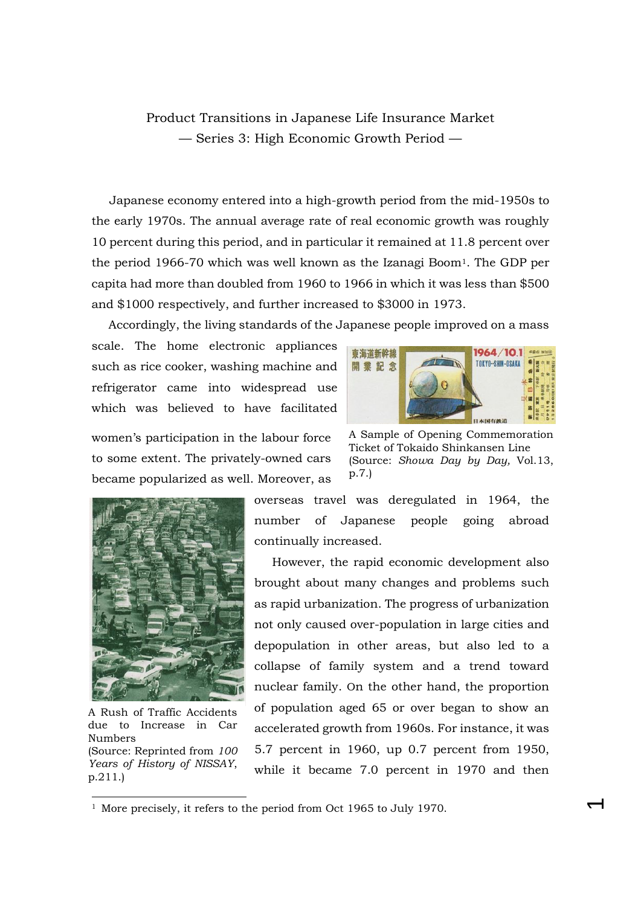## Product Transitions in Japanese Life Insurance Market — Series 3: High Economic Growth Period —

Japanese economy entered into a high-growth period from the mid-1950s to the early 1970s. The annual average rate of real economic growth was roughly 10 percent during this period, and in particular it remained at 11.8 percent over the period 1966-70 which was well known as the Izanagi Boom1. The GDP per capita had more than doubled from 1960 to 1966 in which it was less than \$500 and \$1000 respectively, and further increased to \$3000 in 1973.

Accordingly, the living standards of the Japanese people improved on a mass

scale. The home electronic appliances such as rice cooker, washing machine and refrigerator came into widespread use which was believed to have facilitated



women's participation in the labour force to some extent. The privately-owned cars became popularized as well. Moreover, as

A Sample of Opening Commemoration Ticket of Tokaido Shinkansen Line (Source: *Showa Day by Day,* Vol.13, p.7.)

 $\overline{\phantom{0}}$ 



A Rush of Traffic Accidents due to Increase in Car Numbers (Source: Reprinted from *100 Years of History of NISSAY*, p.211.)

-

overseas travel was deregulated in 1964, the number of Japanese people going abroad continually increased.

However, the rapid economic development also brought about many changes and problems such as rapid urbanization. The progress of urbanization not only caused over-population in large cities and depopulation in other areas, but also led to a collapse of family system and a trend toward nuclear family. On the other hand, the proportion of population aged 65 or over began to show an accelerated growth from 1960s. For instance, it was 5.7 percent in 1960, up 0.7 percent from 1950, while it became 7.0 percent in 1970 and then

<sup>&</sup>lt;sup>1</sup> More precisely, it refers to the period from Oct 1965 to July 1970.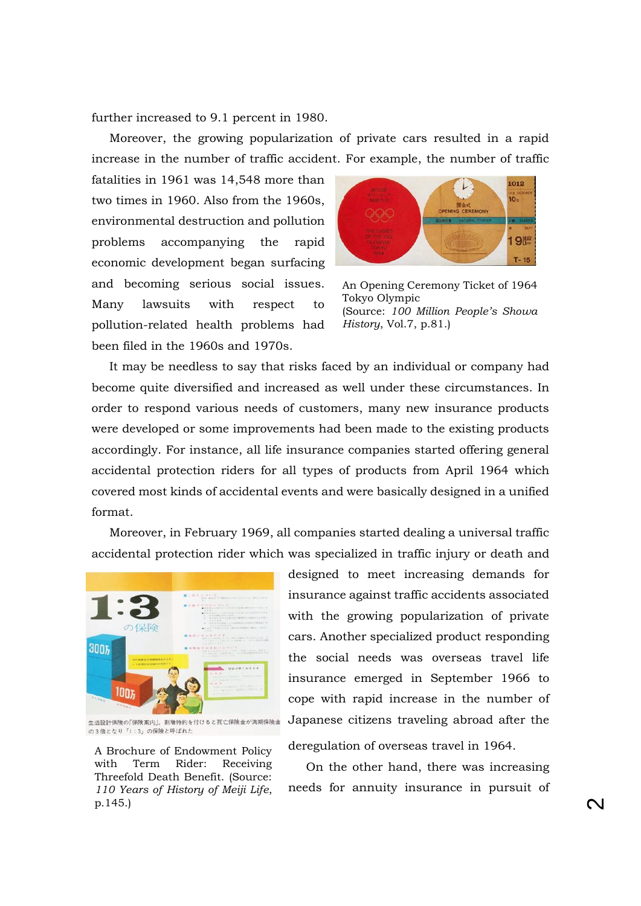further increased to 9.1 percent in 1980.

Moreover, the growing popularization of private cars resulted in a rapid increase in the number of traffic accident. For example, the number of traffic

fatalities in 1961 was 14,548 more than two times in 1960. Also from the 1960s, environmental destruction and pollution problems accompanying the rapid economic development began surfacing and becoming serious social issues. Many lawsuits with respect to pollution-related health problems had been filed in the 1960s and 1970s.



An Opening Ceremony Ticket of 1964 Tokyo Olympic (Source: *100 Million People's Showa History*, Vol.7, p.81.)

It may be needless to say that risks faced by an individual or company had become quite diversified and increased as well under these circumstances. In order to respond various needs of customers, many new insurance products were developed or some improvements had been made to the existing products accordingly. For instance, all life insurance companies started offering general accidental protection riders for all types of products from April 1964 which covered most kinds of accidental events and were basically designed in a unified format.

Moreover, in February 1969, all companies started dealing a universal traffic accidental protection rider which was specialized in traffic injury or death and



生活設計保険の「保険案内」。割増特約を付けると死亡保険金が満期保険金 の3倍となり「1:3」の保険と呼ばれた

A Brochure of Endowment Policy with Term Rider: Receiving Threefold Death Benefit. (Source: *110 Years of History of Meiji Life*, p.145.)

designed to meet increasing demands for insurance against traffic accidents associated with the growing popularization of private cars. Another specialized product responding the social needs was overseas travel life insurance emerged in September 1966 to cope with rapid increase in the number of Japanese citizens traveling abroad after the

deregulation of overseas travel in 1964.

On the other hand, there was increasing needs for annuity insurance in pursuit of